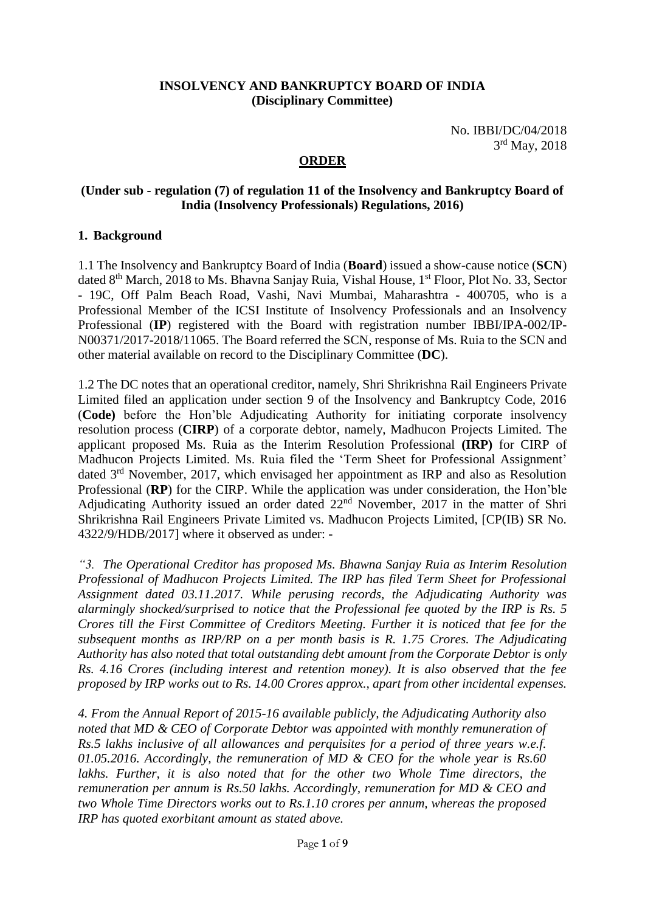#### **INSOLVENCY AND BANKRUPTCY BOARD OF INDIA (Disciplinary Committee)**

No. IBBI/DC/04/2018 3 rd May, 2018

### **ORDER**

#### **(Under sub - regulation (7) of regulation 11 of the Insolvency and Bankruptcy Board of India (Insolvency Professionals) Regulations, 2016)**

#### **1. Background**

1.1 The Insolvency and Bankruptcy Board of India (**Board**) issued a show-cause notice (**SCN**) dated 8<sup>th</sup> March, 2018 to Ms. Bhavna Sanjay Ruia, Vishal House, 1<sup>st</sup> Floor, Plot No. 33, Sector - 19C, Off Palm Beach Road, Vashi, Navi Mumbai, Maharashtra - 400705, who is a Professional Member of the ICSI Institute of Insolvency Professionals and an Insolvency Professional (**IP**) registered with the Board with registration number IBBI/IPA-002/IP-N00371/2017-2018/11065. The Board referred the SCN, response of Ms. Ruia to the SCN and other material available on record to the Disciplinary Committee (**DC**).

1.2 The DC notes that an operational creditor, namely, Shri Shrikrishna Rail Engineers Private Limited filed an application under section 9 of the Insolvency and Bankruptcy Code, 2016 (**Code)** before the Hon'ble Adjudicating Authority for initiating corporate insolvency resolution process (**CIRP**) of a corporate debtor, namely, Madhucon Projects Limited. The applicant proposed Ms. Ruia as the Interim Resolution Professional **(IRP)** for CIRP of Madhucon Projects Limited. Ms. Ruia filed the 'Term Sheet for Professional Assignment' dated 3rd November, 2017, which envisaged her appointment as IRP and also as Resolution Professional (**RP**) for the CIRP. While the application was under consideration, the Hon'ble Adjudicating Authority issued an order dated 22<sup>nd</sup> November, 2017 in the matter of Shri Shrikrishna Rail Engineers Private Limited vs. Madhucon Projects Limited, [CP(IB) SR No. 4322/9/HDB/2017] where it observed as under: -

*"3. The Operational Creditor has proposed Ms. Bhawna Sanjay Ruia as Interim Resolution Professional of Madhucon Projects Limited. The IRP has filed Term Sheet for Professional Assignment dated 03.11.2017. While perusing records, the Adjudicating Authority was alarmingly shocked/surprised to notice that the Professional fee quoted by the IRP is Rs. 5 Crores till the First Committee of Creditors Meeting. Further it is noticed that fee for the subsequent months as IRP/RP on a per month basis is R. 1.75 Crores. The Adjudicating Authority has also noted that total outstanding debt amount from the Corporate Debtor is only Rs. 4.16 Crores (including interest and retention money). It is also observed that the fee proposed by IRP works out to Rs. 14.00 Crores approx., apart from other incidental expenses.*

*4. From the Annual Report of 2015-16 available publicly, the Adjudicating Authority also noted that MD & CEO of Corporate Debtor was appointed with monthly remuneration of Rs.5 lakhs inclusive of all allowances and perquisites for a period of three years w.e.f. 01.05.2016. Accordingly, the remuneration of MD & CEO for the whole year is Rs.60*  lakhs. Further, it is also noted that for the other two Whole Time directors, the *remuneration per annum is Rs.50 lakhs. Accordingly, remuneration for MD & CEO and two Whole Time Directors works out to Rs.1.10 crores per annum, whereas the proposed IRP has quoted exorbitant amount as stated above.*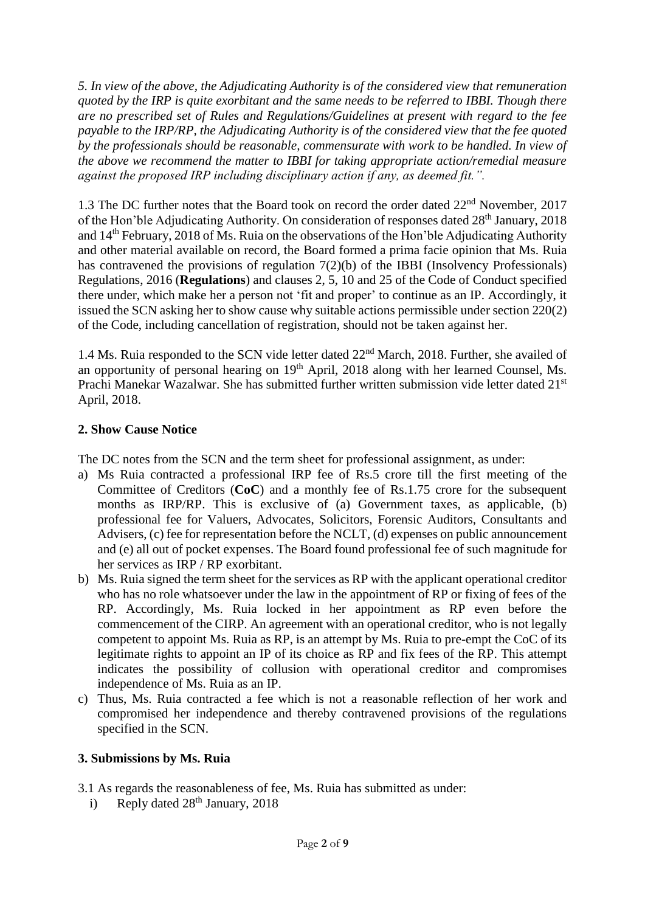*5. In view of the above, the Adjudicating Authority is of the considered view that remuneration quoted by the IRP is quite exorbitant and the same needs to be referred to IBBI. Though there are no prescribed set of Rules and Regulations/Guidelines at present with regard to the fee payable to the IRP/RP, the Adjudicating Authority is of the considered view that the fee quoted by the professionals should be reasonable, commensurate with work to be handled. In view of the above we recommend the matter to IBBI for taking appropriate action/remedial measure against the proposed IRP including disciplinary action if any, as deemed fit.".*

1.3 The DC further notes that the Board took on record the order dated 22nd November, 2017 of the Hon'ble Adjudicating Authority. On consideration of responses dated 28<sup>th</sup> January, 2018 and 14th February, 2018 of Ms. Ruia on the observations of the Hon'ble Adjudicating Authority and other material available on record, the Board formed a prima facie opinion that Ms. Ruia has contravened the provisions of regulation 7(2)(b) of the IBBI (Insolvency Professionals) Regulations, 2016 (**Regulations**) and clauses 2, 5, 10 and 25 of the Code of Conduct specified there under, which make her a person not 'fit and proper' to continue as an IP. Accordingly, it issued the SCN asking her to show cause why suitable actions permissible under section 220(2) of the Code, including cancellation of registration, should not be taken against her.

1.4 Ms. Ruia responded to the SCN vide letter dated 22<sup>nd</sup> March, 2018. Further, she availed of an opportunity of personal hearing on 19<sup>th</sup> April, 2018 along with her learned Counsel, Ms. Prachi Manekar Wazalwar. She has submitted further written submission vide letter dated 21<sup>st</sup> April, 2018.

# **2. Show Cause Notice**

The DC notes from the SCN and the term sheet for professional assignment, as under:

- a) Ms Ruia contracted a professional IRP fee of Rs.5 crore till the first meeting of the Committee of Creditors (**CoC**) and a monthly fee of Rs.1.75 crore for the subsequent months as IRP/RP. This is exclusive of (a) Government taxes, as applicable, (b) professional fee for Valuers, Advocates, Solicitors, Forensic Auditors, Consultants and Advisers, (c) fee for representation before the NCLT, (d) expenses on public announcement and (e) all out of pocket expenses. The Board found professional fee of such magnitude for her services as IRP / RP exorbitant.
- b) Ms. Ruia signed the term sheet for the services as RP with the applicant operational creditor who has no role whatsoever under the law in the appointment of RP or fixing of fees of the RP. Accordingly, Ms. Ruia locked in her appointment as RP even before the commencement of the CIRP. An agreement with an operational creditor, who is not legally competent to appoint Ms. Ruia as RP, is an attempt by Ms. Ruia to pre-empt the CoC of its legitimate rights to appoint an IP of its choice as RP and fix fees of the RP. This attempt indicates the possibility of collusion with operational creditor and compromises independence of Ms. Ruia as an IP.
- c) Thus, Ms. Ruia contracted a fee which is not a reasonable reflection of her work and compromised her independence and thereby contravened provisions of the regulations specified in the SCN.

# **3. Submissions by Ms. Ruia**

- 3.1 As regards the reasonableness of fee, Ms. Ruia has submitted as under:
	- i) Reply dated 28<sup>th</sup> January, 2018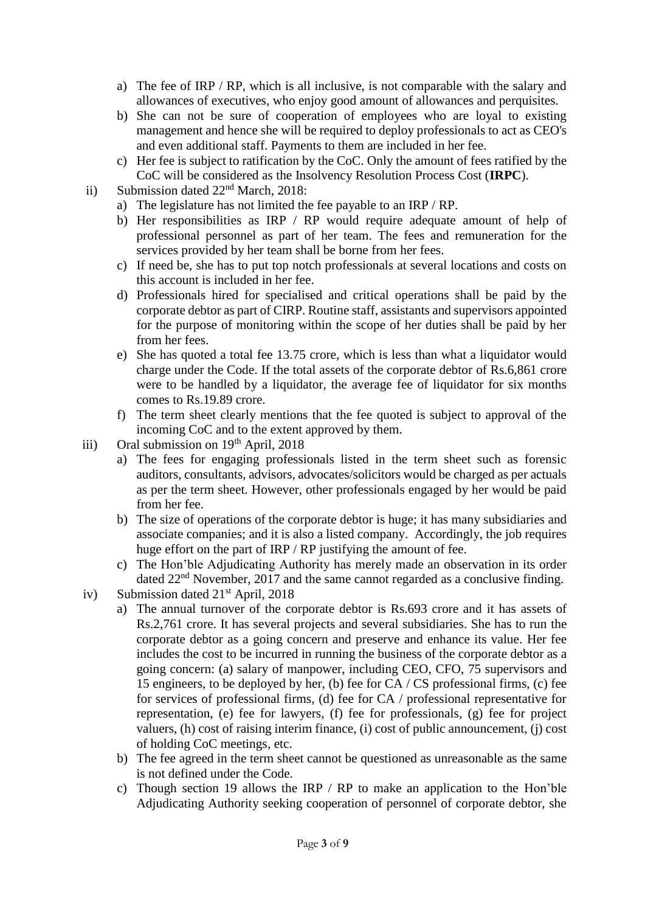- a) The fee of IRP / RP, which is all inclusive, is not comparable with the salary and allowances of executives, who enjoy good amount of allowances and perquisites.
- b) She can not be sure of cooperation of employees who are loyal to existing management and hence she will be required to deploy professionals to act as CEO's and even additional staff. Payments to them are included in her fee.
- c) Her fee is subject to ratification by the CoC. Only the amount of fees ratified by the CoC will be considered as the Insolvency Resolution Process Cost (**IRPC**).
- ii) Submission dated  $22<sup>nd</sup> March, 2018$ :
	- a) The legislature has not limited the fee payable to an IRP / RP.
	- b) Her responsibilities as IRP / RP would require adequate amount of help of professional personnel as part of her team. The fees and remuneration for the services provided by her team shall be borne from her fees.
	- c) If need be, she has to put top notch professionals at several locations and costs on this account is included in her fee.
	- d) Professionals hired for specialised and critical operations shall be paid by the corporate debtor as part of CIRP. Routine staff, assistants and supervisors appointed for the purpose of monitoring within the scope of her duties shall be paid by her from her fees.
	- e) She has quoted a total fee 13.75 crore, which is less than what a liquidator would charge under the Code. If the total assets of the corporate debtor of Rs.6,861 crore were to be handled by a liquidator, the average fee of liquidator for six months comes to Rs.19.89 crore.
	- f) The term sheet clearly mentions that the fee quoted is subject to approval of the incoming CoC and to the extent approved by them.
- iii) Oral submission on  $19<sup>th</sup>$  April, 2018
	- a) The fees for engaging professionals listed in the term sheet such as forensic auditors, consultants, advisors, advocates/solicitors would be charged as per actuals as per the term sheet. However, other professionals engaged by her would be paid from her fee.
	- b) The size of operations of the corporate debtor is huge; it has many subsidiaries and associate companies; and it is also a listed company. Accordingly, the job requires huge effort on the part of IRP / RP justifying the amount of fee.
	- c) The Hon'ble Adjudicating Authority has merely made an observation in its order dated 22nd November, 2017 and the same cannot regarded as a conclusive finding.
- iv) Submission dated 21<sup>st</sup> April, 2018
	- a) The annual turnover of the corporate debtor is Rs.693 crore and it has assets of Rs.2,761 crore. It has several projects and several subsidiaries. She has to run the corporate debtor as a going concern and preserve and enhance its value. Her fee includes the cost to be incurred in running the business of the corporate debtor as a going concern: (a) salary of manpower, including CEO, CFO, 75 supervisors and 15 engineers, to be deployed by her, (b) fee for CA / CS professional firms, (c) fee for services of professional firms, (d) fee for CA / professional representative for representation, (e) fee for lawyers, (f) fee for professionals, (g) fee for project valuers, (h) cost of raising interim finance, (i) cost of public announcement, (j) cost of holding CoC meetings, etc.
	- b) The fee agreed in the term sheet cannot be questioned as unreasonable as the same is not defined under the Code.
	- c) Though section 19 allows the IRP / RP to make an application to the Hon'ble Adjudicating Authority seeking cooperation of personnel of corporate debtor, she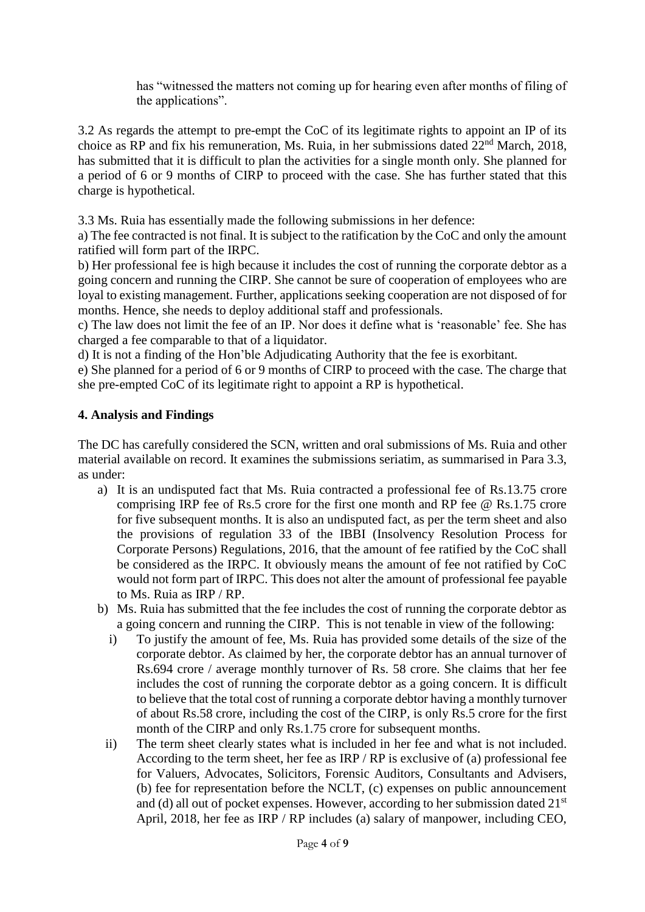has "witnessed the matters not coming up for hearing even after months of filing of the applications".

3.2 As regards the attempt to pre-empt the CoC of its legitimate rights to appoint an IP of its choice as RP and fix his remuneration, Ms. Ruia, in her submissions dated 22nd March, 2018, has submitted that it is difficult to plan the activities for a single month only. She planned for a period of 6 or 9 months of CIRP to proceed with the case. She has further stated that this charge is hypothetical.

3.3 Ms. Ruia has essentially made the following submissions in her defence:

a) The fee contracted is not final. It is subject to the ratification by the CoC and only the amount ratified will form part of the IRPC.

b) Her professional fee is high because it includes the cost of running the corporate debtor as a going concern and running the CIRP. She cannot be sure of cooperation of employees who are loyal to existing management. Further, applications seeking cooperation are not disposed of for months. Hence, she needs to deploy additional staff and professionals.

c) The law does not limit the fee of an IP. Nor does it define what is 'reasonable' fee. She has charged a fee comparable to that of a liquidator.

d) It is not a finding of the Hon'ble Adjudicating Authority that the fee is exorbitant.

e) She planned for a period of 6 or 9 months of CIRP to proceed with the case. The charge that she pre-empted CoC of its legitimate right to appoint a RP is hypothetical.

# **4. Analysis and Findings**

The DC has carefully considered the SCN, written and oral submissions of Ms. Ruia and other material available on record. It examines the submissions seriatim, as summarised in Para 3.3, as under:

- a) It is an undisputed fact that Ms. Ruia contracted a professional fee of Rs.13.75 crore comprising IRP fee of Rs.5 crore for the first one month and RP fee  $\omega$  Rs.1.75 crore for five subsequent months. It is also an undisputed fact, as per the term sheet and also the provisions of regulation 33 of the IBBI (Insolvency Resolution Process for Corporate Persons) Regulations, 2016, that the amount of fee ratified by the CoC shall be considered as the IRPC. It obviously means the amount of fee not ratified by CoC would not form part of IRPC. This does not alter the amount of professional fee payable to Ms. Ruia as IRP / RP.
- b) Ms. Ruia has submitted that the fee includes the cost of running the corporate debtor as a going concern and running the CIRP. This is not tenable in view of the following:
	- i) To justify the amount of fee, Ms. Ruia has provided some details of the size of the corporate debtor. As claimed by her, the corporate debtor has an annual turnover of Rs.694 crore / average monthly turnover of Rs. 58 crore. She claims that her fee includes the cost of running the corporate debtor as a going concern. It is difficult to believe that the total cost of running a corporate debtor having a monthly turnover of about Rs.58 crore, including the cost of the CIRP, is only Rs.5 crore for the first month of the CIRP and only Rs.1.75 crore for subsequent months.
	- ii) The term sheet clearly states what is included in her fee and what is not included. According to the term sheet, her fee as IRP / RP is exclusive of (a) professional fee for Valuers, Advocates, Solicitors, Forensic Auditors, Consultants and Advisers, (b) fee for representation before the NCLT, (c) expenses on public announcement and (d) all out of pocket expenses. However, according to her submission dated 21<sup>st</sup> April, 2018, her fee as IRP / RP includes (a) salary of manpower, including CEO,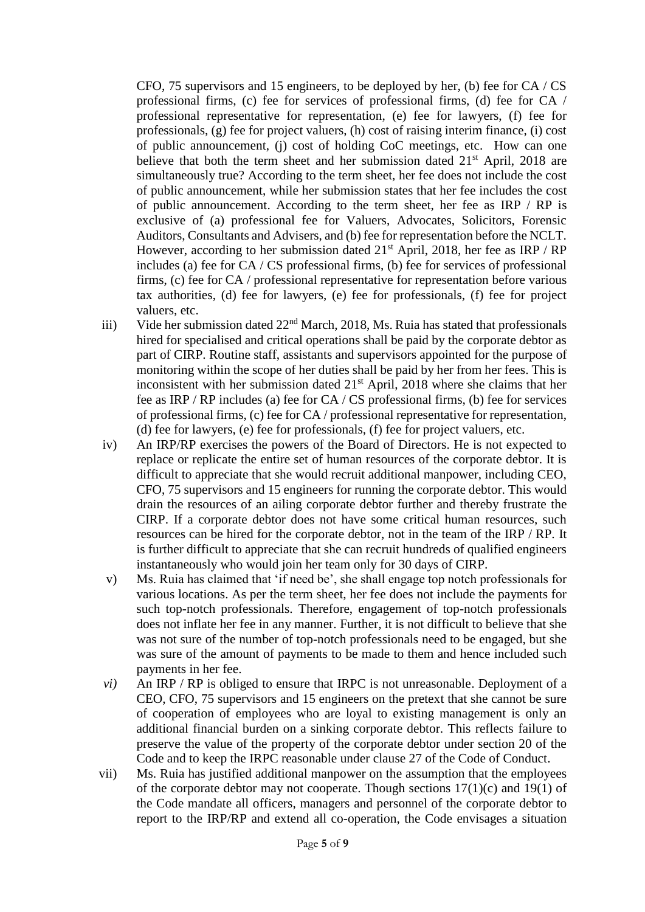CFO, 75 supervisors and 15 engineers, to be deployed by her, (b) fee for CA / CS professional firms, (c) fee for services of professional firms, (d) fee for CA / professional representative for representation, (e) fee for lawyers, (f) fee for professionals, (g) fee for project valuers, (h) cost of raising interim finance, (i) cost of public announcement, (j) cost of holding CoC meetings, etc. How can one believe that both the term sheet and her submission dated  $21<sup>st</sup>$  April, 2018 are simultaneously true? According to the term sheet, her fee does not include the cost of public announcement, while her submission states that her fee includes the cost of public announcement. According to the term sheet, her fee as IRP / RP is exclusive of (a) professional fee for Valuers, Advocates, Solicitors, Forensic Auditors, Consultants and Advisers, and (b) fee for representation before the NCLT. However, according to her submission dated 21<sup>st</sup> April, 2018, her fee as IRP / RP includes (a) fee for CA / CS professional firms, (b) fee for services of professional firms, (c) fee for CA / professional representative for representation before various tax authorities, (d) fee for lawyers, (e) fee for professionals, (f) fee for project valuers, etc.

- iii) Vide her submission dated 22<sup>nd</sup> March, 2018, Ms. Ruia has stated that professionals hired for specialised and critical operations shall be paid by the corporate debtor as part of CIRP. Routine staff, assistants and supervisors appointed for the purpose of monitoring within the scope of her duties shall be paid by her from her fees. This is inconsistent with her submission dated  $21<sup>st</sup>$  April, 2018 where she claims that her fee as IRP / RP includes (a) fee for CA / CS professional firms, (b) fee for services of professional firms, (c) fee for CA / professional representative for representation, (d) fee for lawyers, (e) fee for professionals, (f) fee for project valuers, etc.
- iv) An IRP/RP exercises the powers of the Board of Directors. He is not expected to replace or replicate the entire set of human resources of the corporate debtor. It is difficult to appreciate that she would recruit additional manpower, including CEO, CFO, 75 supervisors and 15 engineers for running the corporate debtor. This would drain the resources of an ailing corporate debtor further and thereby frustrate the CIRP. If a corporate debtor does not have some critical human resources, such resources can be hired for the corporate debtor, not in the team of the IRP / RP. It is further difficult to appreciate that she can recruit hundreds of qualified engineers instantaneously who would join her team only for 30 days of CIRP.
- v) Ms. Ruia has claimed that 'if need be', she shall engage top notch professionals for various locations. As per the term sheet, her fee does not include the payments for such top-notch professionals. Therefore, engagement of top-notch professionals does not inflate her fee in any manner. Further, it is not difficult to believe that she was not sure of the number of top-notch professionals need to be engaged, but she was sure of the amount of payments to be made to them and hence included such payments in her fee.
- *vi)* An IRP / RP is obliged to ensure that IRPC is not unreasonable. Deployment of a CEO, CFO, 75 supervisors and 15 engineers on the pretext that she cannot be sure of cooperation of employees who are loyal to existing management is only an additional financial burden on a sinking corporate debtor. This reflects failure to preserve the value of the property of the corporate debtor under section 20 of the Code and to keep the IRPC reasonable under clause 27 of the Code of Conduct.
- vii) Ms. Ruia has justified additional manpower on the assumption that the employees of the corporate debtor may not cooperate. Though sections  $17(1)(c)$  and  $19(1)$  of the Code mandate all officers, managers and personnel of the corporate debtor to report to the IRP/RP and extend all co-operation, the Code envisages a situation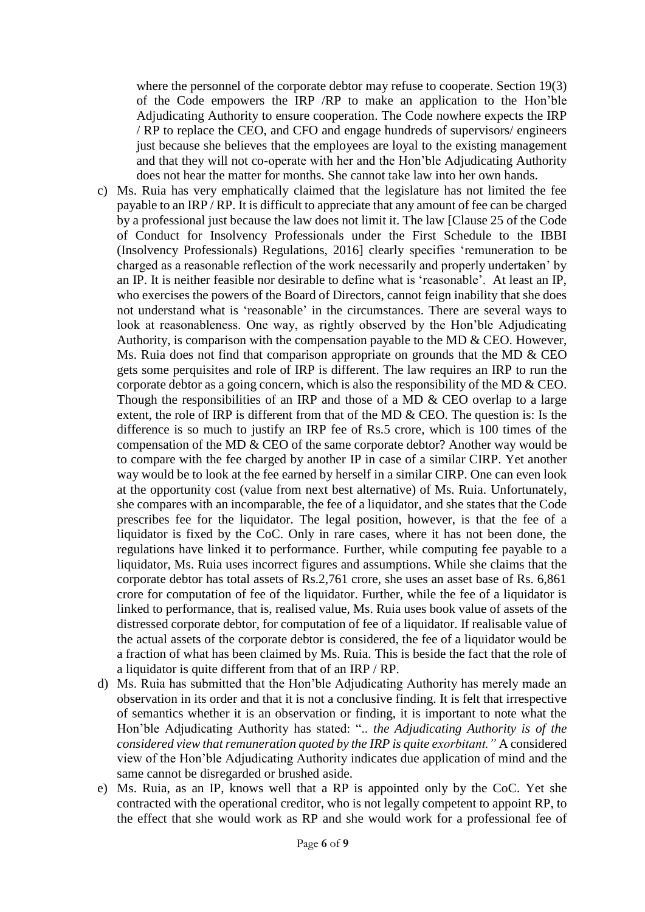where the personnel of the corporate debtor may refuse to cooperate. Section 19(3) of the Code empowers the IRP /RP to make an application to the Hon'ble Adjudicating Authority to ensure cooperation. The Code nowhere expects the IRP / RP to replace the CEO, and CFO and engage hundreds of supervisors/ engineers just because she believes that the employees are loyal to the existing management and that they will not co-operate with her and the Hon'ble Adjudicating Authority does not hear the matter for months. She cannot take law into her own hands.

- c) Ms. Ruia has very emphatically claimed that the legislature has not limited the fee payable to an IRP / RP. It is difficult to appreciate that any amount of fee can be charged by a professional just because the law does not limit it. The law [Clause 25 of the Code of Conduct for Insolvency Professionals under the First Schedule to the IBBI (Insolvency Professionals) Regulations, 2016] clearly specifies 'remuneration to be charged as a reasonable reflection of the work necessarily and properly undertaken' by an IP. It is neither feasible nor desirable to define what is 'reasonable'. At least an IP, who exercises the powers of the Board of Directors, cannot feign inability that she does not understand what is 'reasonable' in the circumstances. There are several ways to look at reasonableness. One way, as rightly observed by the Hon'ble Adjudicating Authority, is comparison with the compensation payable to the MD  $&$  CEO. However, Ms. Ruia does not find that comparison appropriate on grounds that the MD & CEO gets some perquisites and role of IRP is different. The law requires an IRP to run the corporate debtor as a going concern, which is also the responsibility of the MD & CEO. Though the responsibilities of an IRP and those of a MD  $&$  CEO overlap to a large extent, the role of IRP is different from that of the MD & CEO. The question is: Is the difference is so much to justify an IRP fee of Rs.5 crore, which is 100 times of the compensation of the MD & CEO of the same corporate debtor? Another way would be to compare with the fee charged by another IP in case of a similar CIRP. Yet another way would be to look at the fee earned by herself in a similar CIRP. One can even look at the opportunity cost (value from next best alternative) of Ms. Ruia. Unfortunately, she compares with an incomparable, the fee of a liquidator, and she states that the Code prescribes fee for the liquidator. The legal position, however, is that the fee of a liquidator is fixed by the CoC. Only in rare cases, where it has not been done, the regulations have linked it to performance. Further, while computing fee payable to a liquidator, Ms. Ruia uses incorrect figures and assumptions. While she claims that the corporate debtor has total assets of Rs.2,761 crore, she uses an asset base of Rs. 6,861 crore for computation of fee of the liquidator. Further, while the fee of a liquidator is linked to performance, that is, realised value, Ms. Ruia uses book value of assets of the distressed corporate debtor, for computation of fee of a liquidator. If realisable value of the actual assets of the corporate debtor is considered, the fee of a liquidator would be a fraction of what has been claimed by Ms. Ruia. This is beside the fact that the role of a liquidator is quite different from that of an IRP / RP.
- d) Ms. Ruia has submitted that the Hon'ble Adjudicating Authority has merely made an observation in its order and that it is not a conclusive finding. It is felt that irrespective of semantics whether it is an observation or finding, it is important to note what the Hon'ble Adjudicating Authority has stated: ".. *the Adjudicating Authority is of the considered view that remuneration quoted by the IRP is quite exorbitant."* A considered view of the Hon'ble Adjudicating Authority indicates due application of mind and the same cannot be disregarded or brushed aside.
- e) Ms. Ruia, as an IP, knows well that a RP is appointed only by the CoC. Yet she contracted with the operational creditor, who is not legally competent to appoint RP, to the effect that she would work as RP and she would work for a professional fee of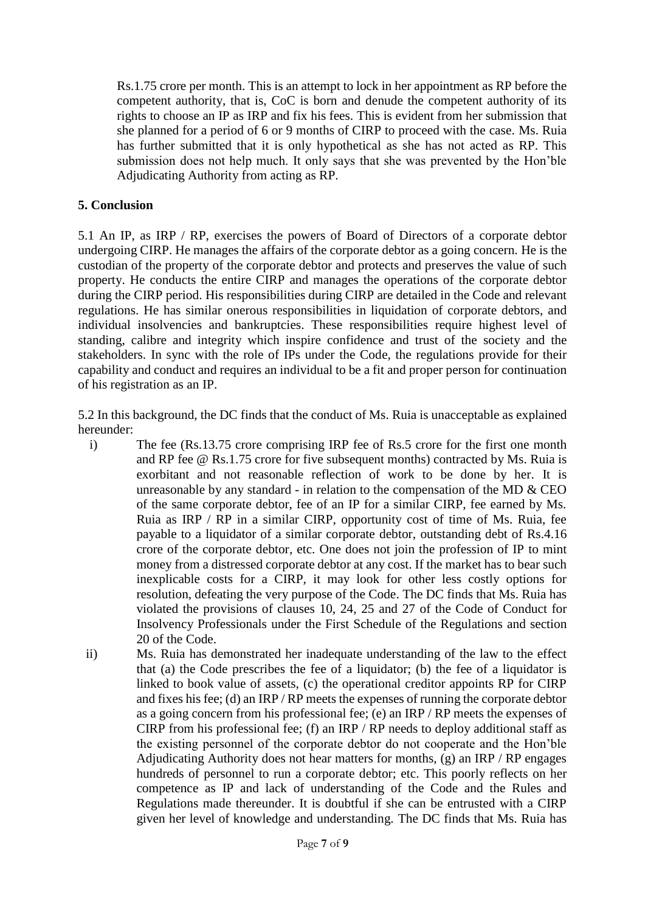Rs.1.75 crore per month. This is an attempt to lock in her appointment as RP before the competent authority, that is, CoC is born and denude the competent authority of its rights to choose an IP as IRP and fix his fees. This is evident from her submission that she planned for a period of 6 or 9 months of CIRP to proceed with the case. Ms. Ruia has further submitted that it is only hypothetical as she has not acted as RP. This submission does not help much. It only says that she was prevented by the Hon'ble Adjudicating Authority from acting as RP.

#### **5. Conclusion**

5.1 An IP, as IRP / RP, exercises the powers of Board of Directors of a corporate debtor undergoing CIRP. He manages the affairs of the corporate debtor as a going concern. He is the custodian of the property of the corporate debtor and protects and preserves the value of such property. He conducts the entire CIRP and manages the operations of the corporate debtor during the CIRP period. His responsibilities during CIRP are detailed in the Code and relevant regulations. He has similar onerous responsibilities in liquidation of corporate debtors, and individual insolvencies and bankruptcies. These responsibilities require highest level of standing, calibre and integrity which inspire confidence and trust of the society and the stakeholders. In sync with the role of IPs under the Code, the regulations provide for their capability and conduct and requires an individual to be a fit and proper person for continuation of his registration as an IP.

5.2 In this background, the DC finds that the conduct of Ms. Ruia is unacceptable as explained hereunder:

- i) The fee (Rs.13.75 crore comprising IRP fee of Rs.5 crore for the first one month and RP fee @ Rs.1.75 crore for five subsequent months) contracted by Ms. Ruia is exorbitant and not reasonable reflection of work to be done by her. It is unreasonable by any standard - in relation to the compensation of the MD  $&$  CEO of the same corporate debtor, fee of an IP for a similar CIRP, fee earned by Ms. Ruia as IRP / RP in a similar CIRP, opportunity cost of time of Ms. Ruia, fee payable to a liquidator of a similar corporate debtor, outstanding debt of Rs.4.16 crore of the corporate debtor, etc. One does not join the profession of IP to mint money from a distressed corporate debtor at any cost. If the market has to bear such inexplicable costs for a CIRP, it may look for other less costly options for resolution, defeating the very purpose of the Code. The DC finds that Ms. Ruia has violated the provisions of clauses 10, 24, 25 and 27 of the Code of Conduct for Insolvency Professionals under the First Schedule of the Regulations and section 20 of the Code.
- ii) Ms. Ruia has demonstrated her inadequate understanding of the law to the effect that (a) the Code prescribes the fee of a liquidator; (b) the fee of a liquidator is linked to book value of assets, (c) the operational creditor appoints RP for CIRP and fixes his fee; (d) an IRP / RP meets the expenses of running the corporate debtor as a going concern from his professional fee; (e) an IRP / RP meets the expenses of CIRP from his professional fee; (f) an IRP / RP needs to deploy additional staff as the existing personnel of the corporate debtor do not cooperate and the Hon'ble Adjudicating Authority does not hear matters for months, (g) an IRP / RP engages hundreds of personnel to run a corporate debtor; etc. This poorly reflects on her competence as IP and lack of understanding of the Code and the Rules and Regulations made thereunder. It is doubtful if she can be entrusted with a CIRP given her level of knowledge and understanding. The DC finds that Ms. Ruia has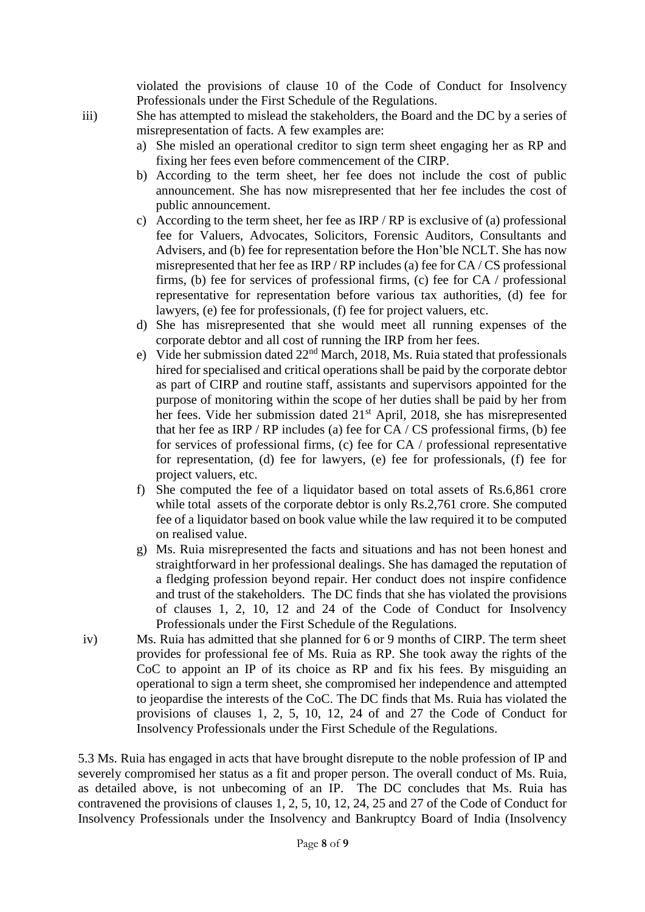violated the provisions of clause 10 of the Code of Conduct for Insolvency Professionals under the First Schedule of the Regulations.

- iii) She has attempted to mislead the stakeholders, the Board and the DC by a series of misrepresentation of facts. A few examples are:
	- a) She misled an operational creditor to sign term sheet engaging her as RP and fixing her fees even before commencement of the CIRP.
	- b) According to the term sheet, her fee does not include the cost of public announcement. She has now misrepresented that her fee includes the cost of public announcement.
	- c) According to the term sheet, her fee as IRP / RP is exclusive of (a) professional fee for Valuers, Advocates, Solicitors, Forensic Auditors, Consultants and Advisers, and (b) fee for representation before the Hon'ble NCLT. She has now misrepresented that her fee as IRP / RP includes (a) fee for CA / CS professional firms, (b) fee for services of professional firms, (c) fee for CA / professional representative for representation before various tax authorities, (d) fee for lawyers, (e) fee for professionals, (f) fee for project valuers, etc.
	- d) She has misrepresented that she would meet all running expenses of the corporate debtor and all cost of running the IRP from her fees.
	- e) Vide her submission dated  $22<sup>nd</sup>$  March, 2018, Ms. Ruia stated that professionals hired for specialised and critical operations shall be paid by the corporate debtor as part of CIRP and routine staff, assistants and supervisors appointed for the purpose of monitoring within the scope of her duties shall be paid by her from her fees. Vide her submission dated 21<sup>st</sup> April, 2018, she has misrepresented that her fee as IRP / RP includes (a) fee for  $CA / CS$  professional firms, (b) fee for services of professional firms, (c) fee for CA / professional representative for representation, (d) fee for lawyers, (e) fee for professionals, (f) fee for project valuers, etc.
	- f) She computed the fee of a liquidator based on total assets of Rs.6,861 crore while total assets of the corporate debtor is only Rs.2,761 crore. She computed fee of a liquidator based on book value while the law required it to be computed on realised value.
	- g) Ms. Ruia misrepresented the facts and situations and has not been honest and straightforward in her professional dealings. She has damaged the reputation of a fledging profession beyond repair. Her conduct does not inspire confidence and trust of the stakeholders. The DC finds that she has violated the provisions of clauses 1, 2, 10, 12 and 24 of the Code of Conduct for Insolvency Professionals under the First Schedule of the Regulations.
- iv) Ms. Ruia has admitted that she planned for 6 or 9 months of CIRP. The term sheet provides for professional fee of Ms. Ruia as RP. She took away the rights of the CoC to appoint an IP of its choice as RP and fix his fees. By misguiding an operational to sign a term sheet, she compromised her independence and attempted to jeopardise the interests of the CoC. The DC finds that Ms. Ruia has violated the provisions of clauses 1, 2, 5, 10, 12, 24 of and 27 the Code of Conduct for Insolvency Professionals under the First Schedule of the Regulations.

5.3 Ms. Ruia has engaged in acts that have brought disrepute to the noble profession of IP and severely compromised her status as a fit and proper person. The overall conduct of Ms. Ruia, as detailed above, is not unbecoming of an IP. The DC concludes that Ms. Ruia has contravened the provisions of clauses 1, 2, 5, 10, 12, 24, 25 and 27 of the Code of Conduct for Insolvency Professionals under the Insolvency and Bankruptcy Board of India (Insolvency